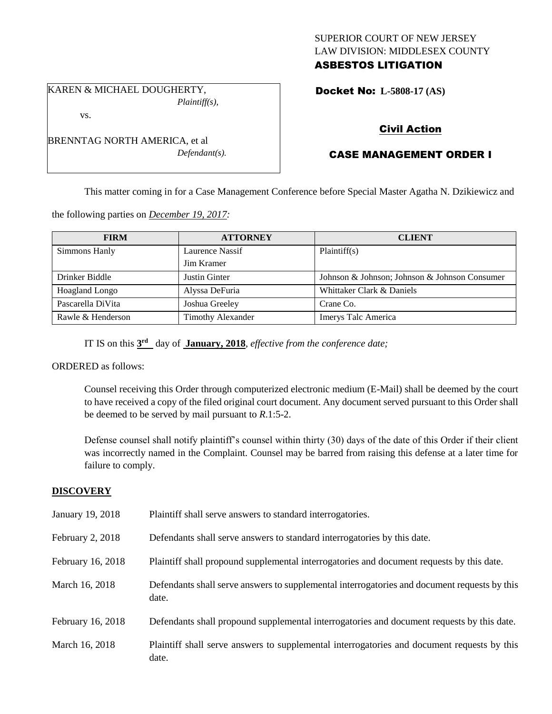## SUPERIOR COURT OF NEW JERSEY LAW DIVISION: MIDDLESEX COUNTY ASBESTOS LITIGATION

Docket No: **L-5808-17 (AS)** 

# Civil Action

# CASE MANAGEMENT ORDER I

This matter coming in for a Case Management Conference before Special Master Agatha N. Dzikiewicz and

the following parties on *December 19, 2017:*

| <b>FIRM</b>           | <b>ATTORNEY</b>          | <b>CLIENT</b>                                 |
|-----------------------|--------------------------|-----------------------------------------------|
| Simmons Hanly         | Laurence Nassif          | Plaintiff(s)                                  |
|                       | Jim Kramer               |                                               |
| Drinker Biddle        | Justin Ginter            | Johnson & Johnson; Johnson & Johnson Consumer |
| <b>Hoagland Longo</b> | Alyssa DeFuria           | Whittaker Clark & Daniels                     |
| Pascarella DiVita     | Joshua Greeley           | Crane Co.                                     |
| Rawle & Henderson     | <b>Timothy Alexander</b> | Imerys Talc America                           |

IT IS on this  $3<sup>rd</sup>$  day of **January, 2018**, *effective from the conference date*;

ORDERED as follows:

Counsel receiving this Order through computerized electronic medium (E-Mail) shall be deemed by the court to have received a copy of the filed original court document. Any document served pursuant to this Order shall be deemed to be served by mail pursuant to *R*.1:5-2.

Defense counsel shall notify plaintiff's counsel within thirty (30) days of the date of this Order if their client was incorrectly named in the Complaint. Counsel may be barred from raising this defense at a later time for failure to comply.

## **DISCOVERY**

| January 19, 2018  | Plaintiff shall serve answers to standard interrogatories.                                            |
|-------------------|-------------------------------------------------------------------------------------------------------|
| February 2, 2018  | Defendants shall serve answers to standard interrogatories by this date.                              |
| February 16, 2018 | Plaintiff shall propound supplemental interrogatories and document requests by this date.             |
| March 16, 2018    | Defendants shall serve answers to supplemental interrogatories and document requests by this<br>date. |
| February 16, 2018 | Defendants shall propound supplemental interrogatories and document requests by this date.            |
| March 16, 2018    | Plaintiff shall serve answers to supplemental interrogatories and document requests by this<br>date.  |

vs.

BRENNTAG NORTH AMERICA, et al

KAREN & MICHAEL DOUGHERTY,

*Defendant(s).*

*Plaintiff(s),*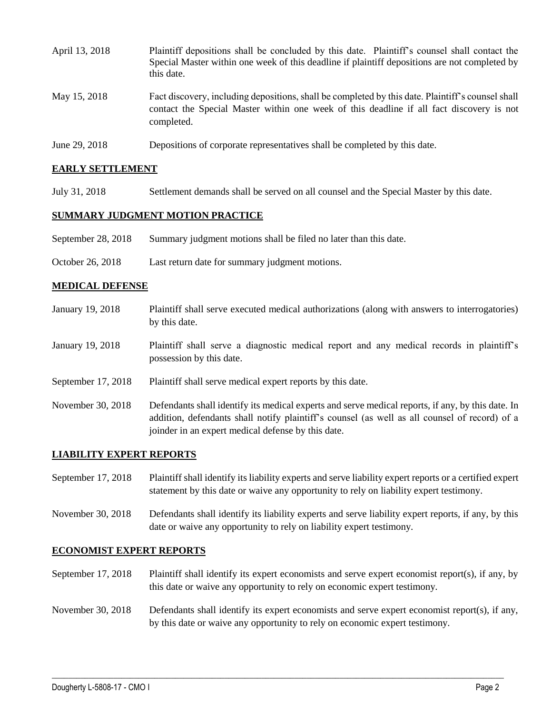| April 13, 2018 | Plaintiff depositions shall be concluded by this date. Plaintiff's counsel shall contact the<br>Special Master within one week of this deadline if plaintiff depositions are not completed by<br>this date. |
|----------------|-------------------------------------------------------------------------------------------------------------------------------------------------------------------------------------------------------------|
| May 15, 2018   | Fact discovery, including depositions, shall be completed by this date. Plaintiff's counsel shall<br>contact the Special Master within one week of this deadline if all fact discovery is not<br>completed. |
| June 29, 2018  | Depositions of corporate representatives shall be completed by this date.                                                                                                                                   |

## **EARLY SETTLEMENT**

July 31, 2018 Settlement demands shall be served on all counsel and the Special Master by this date.

#### **SUMMARY JUDGMENT MOTION PRACTICE**

- September 28, 2018 Summary judgment motions shall be filed no later than this date.
- October 26, 2018 Last return date for summary judgment motions.

#### **MEDICAL DEFENSE**

- January 19, 2018 Plaintiff shall serve executed medical authorizations (along with answers to interrogatories) by this date.
- January 19, 2018 Plaintiff shall serve a diagnostic medical report and any medical records in plaintiff's possession by this date.
- September 17, 2018 Plaintiff shall serve medical expert reports by this date.
- November 30, 2018 Defendants shall identify its medical experts and serve medical reports, if any, by this date. In addition, defendants shall notify plaintiff's counsel (as well as all counsel of record) of a joinder in an expert medical defense by this date.

#### **LIABILITY EXPERT REPORTS**

September 17, 2018 Plaintiff shall identify its liability experts and serve liability expert reports or a certified expert statement by this date or waive any opportunity to rely on liability expert testimony.

November 30, 2018 Defendants shall identify its liability experts and serve liability expert reports, if any, by this date or waive any opportunity to rely on liability expert testimony.

#### **ECONOMIST EXPERT REPORTS**

- September 17, 2018 Plaintiff shall identify its expert economists and serve expert economist report(s), if any, by this date or waive any opportunity to rely on economic expert testimony.
- November 30, 2018 Defendants shall identify its expert economists and serve expert economist report(s), if any, by this date or waive any opportunity to rely on economic expert testimony.

 $\_$  ,  $\_$  ,  $\_$  ,  $\_$  ,  $\_$  ,  $\_$  ,  $\_$  ,  $\_$  ,  $\_$  ,  $\_$  ,  $\_$  ,  $\_$  ,  $\_$  ,  $\_$  ,  $\_$  ,  $\_$  ,  $\_$  ,  $\_$  ,  $\_$  ,  $\_$  ,  $\_$  ,  $\_$  ,  $\_$  ,  $\_$  ,  $\_$  ,  $\_$  ,  $\_$  ,  $\_$  ,  $\_$  ,  $\_$  ,  $\_$  ,  $\_$  ,  $\_$  ,  $\_$  ,  $\_$  ,  $\_$  ,  $\_$  ,